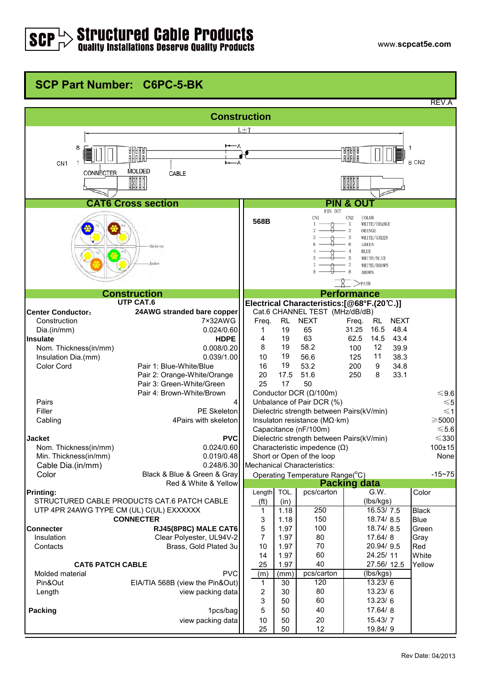

## **SCP Part Number: C6PC-5-BK**

|                                                                                                                                                                                                                                     |                                                                                                                                                                                                                                                                                                                        |                                                                     |                                              |                                                       |                                                                                                                                                                                                                                                                                                                                                                                                          |                                                                                                                                                                               |                                                             |                               | REV.A                                                                                        |
|-------------------------------------------------------------------------------------------------------------------------------------------------------------------------------------------------------------------------------------|------------------------------------------------------------------------------------------------------------------------------------------------------------------------------------------------------------------------------------------------------------------------------------------------------------------------|---------------------------------------------------------------------|----------------------------------------------|-------------------------------------------------------|----------------------------------------------------------------------------------------------------------------------------------------------------------------------------------------------------------------------------------------------------------------------------------------------------------------------------------------------------------------------------------------------------------|-------------------------------------------------------------------------------------------------------------------------------------------------------------------------------|-------------------------------------------------------------|-------------------------------|----------------------------------------------------------------------------------------------|
|                                                                                                                                                                                                                                     | <b>Construction</b>                                                                                                                                                                                                                                                                                                    |                                                                     |                                              |                                                       |                                                                                                                                                                                                                                                                                                                                                                                                          |                                                                                                                                                                               |                                                             |                               |                                                                                              |
|                                                                                                                                                                                                                                     |                                                                                                                                                                                                                                                                                                                        | $L \pm T$                                                           |                                              |                                                       |                                                                                                                                                                                                                                                                                                                                                                                                          |                                                                                                                                                                               |                                                             |                               |                                                                                              |
| 8<br>CN <sub>1</sub><br>CONNECTER                                                                                                                                                                                                   | <b>HTHTH</b><br><b>MOLDED</b><br>CABLE<br>HELEH<br>HELEH                                                                                                                                                                                                                                                               |                                                                     |                                              |                                                       |                                                                                                                                                                                                                                                                                                                                                                                                          | <b>ETHERE</b><br>LEUNDA<br><b>HELLET</b>                                                                                                                                      |                                                             | 8 CN <sub>2</sub>             |                                                                                              |
|                                                                                                                                                                                                                                     |                                                                                                                                                                                                                                                                                                                        |                                                                     |                                              |                                                       |                                                                                                                                                                                                                                                                                                                                                                                                          |                                                                                                                                                                               |                                                             |                               |                                                                                              |
|                                                                                                                                                                                                                                     | <b>CAT6 Cross section</b>                                                                                                                                                                                                                                                                                              | <b>PIN &amp; OUT</b>                                                |                                              |                                                       |                                                                                                                                                                                                                                                                                                                                                                                                          |                                                                                                                                                                               |                                                             |                               |                                                                                              |
|                                                                                                                                                                                                                                     | -Skeleton<br>Jacket                                                                                                                                                                                                                                                                                                    | 568B                                                                |                                              |                                                       | PIN OUT<br>CN1                                                                                                                                                                                                                                                                                                                                                                                           | CN2<br>COLOR<br>WHITE/ORANGE<br>-1<br>$\overline{2}$<br>ORANGE<br>3<br>WHITE/GREEN<br><b>GREEN</b><br><b>BLUE</b><br>WHITE/BLUE<br>WHITE/BROWN<br><b>BROWN</b><br><b>PAIR</b> |                                                             |                               |                                                                                              |
|                                                                                                                                                                                                                                     | <b>Construction</b>                                                                                                                                                                                                                                                                                                    |                                                                     |                                              |                                                       |                                                                                                                                                                                                                                                                                                                                                                                                          | <b>Performance</b>                                                                                                                                                            |                                                             |                               |                                                                                              |
| <b>Center Conductor:</b><br>Construction<br>Dia.(in/mm)<br>IInsulate<br>Nom. Thickness(in/mm)<br>Insulation Dia.(mm)<br>Color Cord<br>Pairs<br>Filler<br>Cabling<br><b>Jacket</b><br>Nom. Thickness(in/mm)<br>Min. Thickness(in/mm) | UTP CAT.6<br>24AWG stranded bare copper<br>7×32AWG<br>0.024/0.60<br><b>HDPE</b><br>0.008/0.20<br>0.039/1.00<br>Pair 1: Blue-White/Blue<br>Pair 2: Orange-White/Orange<br>Pair 3: Green-White/Green<br>Pair 4: Brown-White/Brown<br>4<br>PE Skeleton<br>4 Pairs with skeleton<br><b>PVC</b><br>0.024/0.60<br>0.019/0.48 |                                                                     | Freq.<br>1<br>4<br>8<br>10<br>16<br>20<br>25 | <b>RL</b><br>19<br>19<br>19<br>19<br>19<br>17.5<br>17 | Electrical Characteristics: [@68°F.(20°C.)]<br>Cat.6 CHANNEL TEST (MHz/dB/dB)<br><b>NEXT</b><br>65<br>63<br>58.2<br>56.6<br>53.2<br>51.6<br>50<br>Conductor DCR (Ω/100m)<br>Unbalance of Pair DCR (%)<br>Dielectric strength between Pairs(kV/min)<br>Insulaton resistance ( $M\Omega$ ·km)<br>Capacitance (nF/100m)<br>Dielectric strength between Pairs(kV/min)<br>Characteristic impedence $(\Omega)$ | Freq.<br>RL<br>16.5<br>31.25<br>62.5<br>14.5<br>12<br>100<br>11<br>125<br>200<br>9<br>250<br>8                                                                                | <b>NEXT</b><br>48.4<br>43.4<br>39.9<br>38.3<br>34.8<br>33.1 |                               | $< 9.6$<br>$\leqslant$ 5<br>$\leq 1$<br>$\geq 5000$<br>$5.6$<br>$≤330$<br>$100 + 15$<br>None |
| Cable Dia.(in/mm)                                                                                                                                                                                                                   |                                                                                                                                                                                                                                                                                                                        | Short or Open of the loop<br>0.248/6.30 Mechanical Characteristics: |                                              |                                                       |                                                                                                                                                                                                                                                                                                                                                                                                          |                                                                                                                                                                               |                                                             |                               |                                                                                              |
| Color                                                                                                                                                                                                                               | Black & Blue & Green & Gray                                                                                                                                                                                                                                                                                            |                                                                     |                                              |                                                       | Operating Temperature Range(°C)                                                                                                                                                                                                                                                                                                                                                                          |                                                                                                                                                                               |                                                             |                               | $-15 - 75$                                                                                   |
|                                                                                                                                                                                                                                     | Red & White & Yellow                                                                                                                                                                                                                                                                                                   |                                                                     |                                              |                                                       |                                                                                                                                                                                                                                                                                                                                                                                                          | <b>Packing data</b>                                                                                                                                                           |                                                             |                               |                                                                                              |
| <b>Printing:</b>                                                                                                                                                                                                                    | STRUCTURED CABLE PRODUCTS CAT.6 PATCH CABLE<br>UTP 4PR 24AWG TYPE CM (UL) C(UL) EXXXXXX<br><b>CONNECTER</b>                                                                                                                                                                                                            |                                                                     | Length<br>(f <sup>t</sup> )<br>1<br>3        | TOL.<br>(in)<br>1.18<br>1.18                          | pcs/carton<br>250<br>150                                                                                                                                                                                                                                                                                                                                                                                 | G.W.<br>(lbs/kgs)                                                                                                                                                             | 16.53/7.5<br>18.74/8.5                                      | Color<br><b>Black</b><br>Blue |                                                                                              |
| <b>Connecter</b><br>Insulation<br>Contacts                                                                                                                                                                                          | RJ45(8P8C) MALE CAT6<br>Clear Polyester, UL94V-2<br>Brass, Gold Plated 3u                                                                                                                                                                                                                                              |                                                                     | 5<br>$\overline{7}$<br>10<br>14              | 1.97<br>1.97<br>1.97<br>1.97                          | 100<br>80<br>70<br>60                                                                                                                                                                                                                                                                                                                                                                                    | 17.64/8                                                                                                                                                                       | 18.74/8.5<br>20.94/9.5<br>24.25/11                          | Green<br>Gray<br>Red<br>White |                                                                                              |
| <b>CAT6 PATCH CABLE</b>                                                                                                                                                                                                             |                                                                                                                                                                                                                                                                                                                        | 25                                                                  | 1.97                                         | 40                                                    |                                                                                                                                                                                                                                                                                                                                                                                                          | 27.56/12.5                                                                                                                                                                    | Yellow                                                      |                               |                                                                                              |
| Molded material<br>Pin&Out<br>Length                                                                                                                                                                                                | <b>PVC</b><br>EIA/TIA 568B (view the Pin&Out)<br>view packing data                                                                                                                                                                                                                                                     |                                                                     | (m)<br>1<br>$\overline{\mathbf{c}}$<br>3     | (mm)<br>30<br>30<br>50                                | pcs/carton<br>120<br>80<br>60                                                                                                                                                                                                                                                                                                                                                                            | (lbs/kgs)<br>13.23/6<br>13.23/6<br>13.23/6                                                                                                                                    |                                                             |                               |                                                                                              |
| <b>Packing</b>                                                                                                                                                                                                                      | 1pcs/bag<br>view packing data                                                                                                                                                                                                                                                                                          |                                                                     | 5<br>10<br>25                                | 50<br>50<br>50                                        | 40<br>20<br>12                                                                                                                                                                                                                                                                                                                                                                                           | 17.64/8<br>15.43/7<br>19.84/9                                                                                                                                                 |                                                             |                               |                                                                                              |